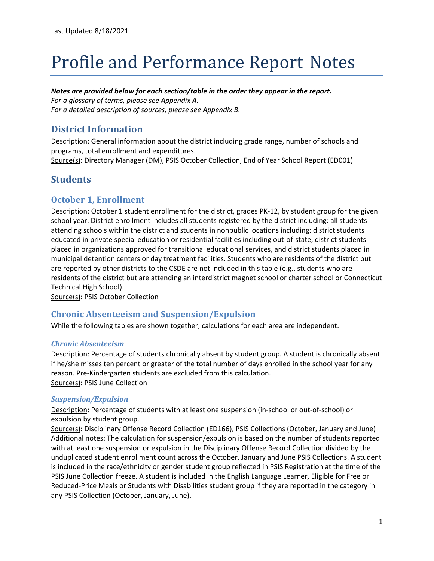# Profile and Performance Report Notes

#### *Notes are provided below for each section/table in the order they appear in the report.*

*For a glossary of terms, please see Appendix A. For a detailed description of sources, please see Appendix B.*

## **District Information**

Description: General information about the district including grade range, number of schools and programs, total enrollment and expenditures.

Source(s): Directory Manager (DM), PSIS October Collection, End of Year School Report (ED001)

# **Students**

#### **October 1, Enrollment**

Description: October 1 student enrollment for the district, grades PK-12, by student group for the given school year. District enrollment includes all students registered by the district including: all students attending schools within the district and students in nonpublic locations including: district students educated in private special education or residential facilities including out-of-state, district students placed in organizations approved for transitional educational services, and district students placed in municipal detention centers or day treatment facilities. Students who are residents of the district but are reported by other districts to the CSDE are not included in this table (e.g., students who are residents of the district but are attending an interdistrict magnet school or charter school or Connecticut Technical High School).

Source(s): PSIS October Collection

#### **Chronic Absenteeism and Suspension/Expulsion**

While the following tables are shown together, calculations for each area are independent.

#### *Chronic Absenteeism*

Description: Percentage of students chronically absent by student group. A student is chronically absent if he/she misses ten percent or greater of the total number of days enrolled in the school year for any reason. Pre-Kindergarten students are excluded from this calculation. Source(s): PSIS June Collection

#### *Suspension/Expulsion*

Description: Percentage of students with at least one suspension (in-school or out-of-school) or expulsion by student group.

Source(s): Disciplinary Offense Record Collection (ED166), PSIS Collections (October, January and June) Additional notes: The calculation for suspension/expulsion is based on the number of students reported with at least one suspension or expulsion in the Disciplinary Offense Record Collection divided by the unduplicated student enrollment count across the October, January and June PSIS Collections. A student is included in the race/ethnicity or gender student group reflected in PSIS Registration at the time of the PSIS June Collection freeze. A student is included in the English Language Learner, Eligible for Free or Reduced-Price Meals or Students with Disabilities student group if they are reported in the category in any PSIS Collection (October, January, June).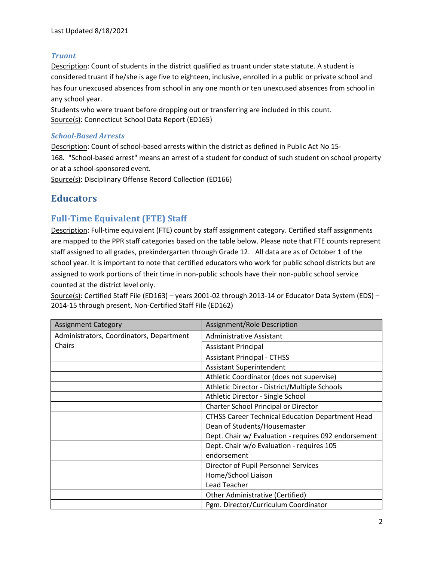#### *Truant*

Description: Count of students in the district qualified as truant under state statute. A student is considered truant if he/she is age five to eighteen, inclusive, enrolled in a public or private school and has four unexcused absences from school in any one month or ten unexcused absences from school in any school year.

Students who were truant before dropping out or transferring are included in this count. Source(s): Connecticut School Data Report (ED165)

#### *School-Based Arrests*

Description: Count of school-based arrests within the district as defined in Public Act No 15- 168. "School-based arrest" means an arrest of a student for conduct of such student on school property or at a school-sponsored event.

Source(s): Disciplinary Offense Record Collection (ED166)

# **Educators**

#### **Full-Time Equivalent (FTE) Staff**

Description: Full-time equivalent (FTE) count by staff assignment category. Certified staff assignments are mapped to the PPR staff categories based on the table below. Please note that FTE counts represent staff assigned to all grades, prekindergarten through Grade 12. All data are as of October 1 of the school year. It is important to note that certified educators who work for public school districts but are assigned to work portions of their time in non-public schools have their non-public school service counted at the district level only.

Source(s): Certified Staff File (ED163) – years 2001-02 through 2013-14 or Educator Data System (EDS) – 2014-15 through present, Non-Certified Staff File (ED162)

| <b>Assignment Category</b>               | Assignment/Role Description                             |
|------------------------------------------|---------------------------------------------------------|
| Administrators, Coordinators, Department | Administrative Assistant                                |
| Chairs                                   | <b>Assistant Principal</b>                              |
|                                          | <b>Assistant Principal - CTHSS</b>                      |
|                                          | <b>Assistant Superintendent</b>                         |
|                                          | Athletic Coordinator (does not supervise)               |
|                                          | Athletic Director - District/Multiple Schools           |
|                                          | Athletic Director - Single School                       |
|                                          | Charter School Principal or Director                    |
|                                          | <b>CTHSS Career Technical Education Department Head</b> |
|                                          | Dean of Students/Housemaster                            |
|                                          | Dept. Chair w/ Evaluation - requires 092 endorsement    |
|                                          | Dept. Chair w/o Evaluation - requires 105               |
|                                          | endorsement                                             |
|                                          | Director of Pupil Personnel Services                    |
|                                          | Home/School Liaison                                     |
|                                          | Lead Teacher                                            |
|                                          | Other Administrative (Certified)                        |
|                                          | Pgm. Director/Curriculum Coordinator                    |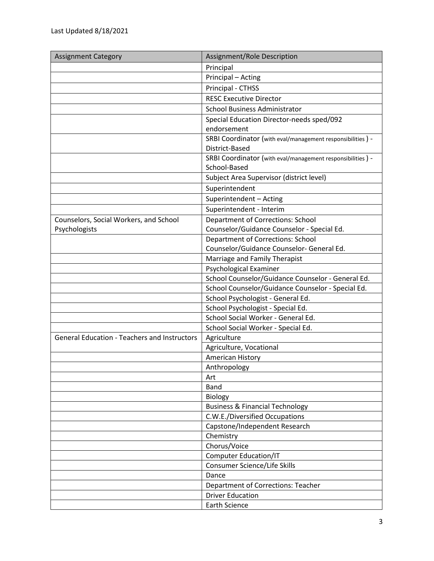| <b>Assignment Category</b>                          | Assignment/Role Description                                                  |
|-----------------------------------------------------|------------------------------------------------------------------------------|
|                                                     | Principal                                                                    |
|                                                     | Principal - Acting                                                           |
|                                                     | Principal - CTHSS                                                            |
|                                                     | <b>RESC Executive Director</b>                                               |
|                                                     | <b>School Business Administrator</b>                                         |
|                                                     | Special Education Director-needs sped/092                                    |
|                                                     | endorsement                                                                  |
|                                                     | SRBI Coordinator (with eval/management responsibilities) -                   |
|                                                     | District-Based                                                               |
|                                                     | SRBI Coordinator (with eval/management responsibilities) -                   |
|                                                     | School-Based                                                                 |
|                                                     | Subject Area Supervisor (district level)                                     |
|                                                     | Superintendent                                                               |
|                                                     | Superintendent - Acting                                                      |
|                                                     | Superintendent - Interim                                                     |
| Counselors, Social Workers, and School              | <b>Department of Corrections: School</b>                                     |
| Psychologists                                       | Counselor/Guidance Counselor - Special Ed.                                   |
|                                                     | <b>Department of Corrections: School</b>                                     |
|                                                     | Counselor/Guidance Counselor- General Ed.                                    |
|                                                     | Marriage and Family Therapist                                                |
|                                                     | Psychological Examiner                                                       |
|                                                     | School Counselor/Guidance Counselor - General Ed.                            |
|                                                     | School Counselor/Guidance Counselor - Special Ed.                            |
|                                                     | School Psychologist - General Ed.                                            |
|                                                     | School Psychologist - Special Ed.                                            |
|                                                     | School Social Worker - General Ed.                                           |
|                                                     | School Social Worker - Special Ed.                                           |
| <b>General Education - Teachers and Instructors</b> | Agriculture                                                                  |
|                                                     | Agriculture, Vocational                                                      |
|                                                     | American History                                                             |
|                                                     | Anthropology                                                                 |
|                                                     | Art                                                                          |
|                                                     | Band                                                                         |
|                                                     | Biology                                                                      |
|                                                     | <b>Business &amp; Financial Technology</b><br>C.W.E./Diversified Occupations |
|                                                     | Capstone/Independent Research                                                |
|                                                     | Chemistry                                                                    |
|                                                     | Chorus/Voice                                                                 |
|                                                     | <b>Computer Education/IT</b>                                                 |
|                                                     | Consumer Science/Life Skills                                                 |
|                                                     | Dance                                                                        |
|                                                     | Department of Corrections: Teacher                                           |
|                                                     | <b>Driver Education</b>                                                      |
|                                                     | <b>Earth Science</b>                                                         |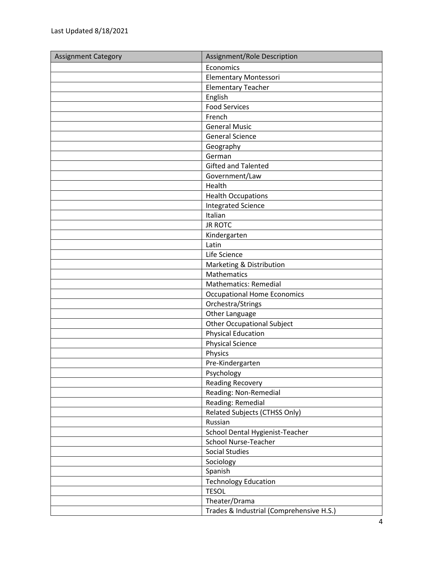| <b>Assignment Category</b> | Assignment/Role Description              |
|----------------------------|------------------------------------------|
|                            | Economics                                |
|                            | <b>Elementary Montessori</b>             |
|                            | <b>Elementary Teacher</b>                |
|                            | English                                  |
|                            | <b>Food Services</b>                     |
|                            | French                                   |
|                            | <b>General Music</b>                     |
|                            | <b>General Science</b>                   |
|                            | Geography                                |
|                            | German                                   |
|                            | <b>Gifted and Talented</b>               |
|                            | Government/Law                           |
|                            | Health                                   |
|                            | <b>Health Occupations</b>                |
|                            | <b>Integrated Science</b>                |
|                            | Italian                                  |
|                            | <b>JR ROTC</b>                           |
|                            | Kindergarten                             |
|                            | Latin                                    |
|                            | Life Science                             |
|                            | Marketing & Distribution                 |
|                            | Mathematics                              |
|                            | <b>Mathematics: Remedial</b>             |
|                            | <b>Occupational Home Economics</b>       |
|                            | Orchestra/Strings                        |
|                            | Other Language                           |
|                            | <b>Other Occupational Subject</b>        |
|                            | <b>Physical Education</b>                |
|                            | <b>Physical Science</b>                  |
|                            | Physics                                  |
|                            | Pre-Kindergarten                         |
|                            | Psychology                               |
|                            | <b>Reading Recovery</b>                  |
|                            | Reading: Non-Remedial                    |
|                            | Reading: Remedial                        |
|                            | Related Subjects (CTHSS Only)            |
|                            | Russian                                  |
|                            | School Dental Hygienist-Teacher          |
|                            | <b>School Nurse-Teacher</b>              |
|                            | <b>Social Studies</b>                    |
|                            | Sociology                                |
|                            | Spanish                                  |
|                            | <b>Technology Education</b>              |
|                            | <b>TESOL</b>                             |
|                            | Theater/Drama                            |
|                            | Trades & Industrial (Comprehensive H.S.) |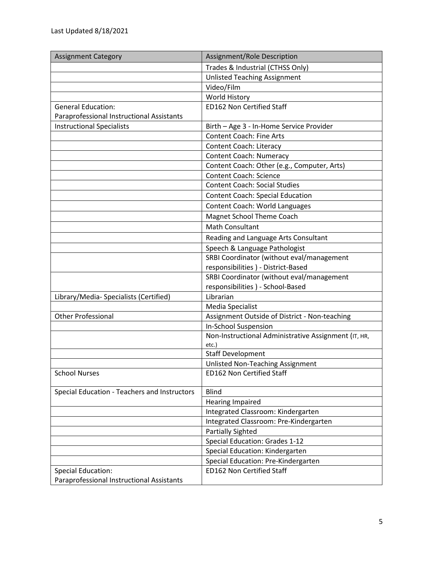| <b>Assignment Category</b>                   | Assignment/Role Description                          |
|----------------------------------------------|------------------------------------------------------|
|                                              | Trades & Industrial (CTHSS Only)                     |
|                                              | <b>Unlisted Teaching Assignment</b>                  |
|                                              | Video/Film                                           |
|                                              | <b>World History</b>                                 |
| <b>General Education:</b>                    | <b>ED162 Non Certified Staff</b>                     |
| Paraprofessional Instructional Assistants    |                                                      |
| <b>Instructional Specialists</b>             | Birth - Age 3 - In-Home Service Provider             |
|                                              | <b>Content Coach: Fine Arts</b>                      |
|                                              | <b>Content Coach: Literacy</b>                       |
|                                              | <b>Content Coach: Numeracy</b>                       |
|                                              | Content Coach: Other (e.g., Computer, Arts)          |
|                                              | <b>Content Coach: Science</b>                        |
|                                              | <b>Content Coach: Social Studies</b>                 |
|                                              | <b>Content Coach: Special Education</b>              |
|                                              | Content Coach: World Languages                       |
|                                              | Magnet School Theme Coach                            |
|                                              | <b>Math Consultant</b>                               |
|                                              | Reading and Language Arts Consultant                 |
|                                              | Speech & Language Pathologist                        |
|                                              | SRBI Coordinator (without eval/management            |
|                                              | responsibilities ) - District-Based                  |
|                                              | SRBI Coordinator (without eval/management            |
|                                              | responsibilities ) - School-Based                    |
| Library/Media- Specialists (Certified)       | Librarian                                            |
|                                              | Media Specialist                                     |
| <b>Other Professional</b>                    | Assignment Outside of District - Non-teaching        |
|                                              | In-School Suspension                                 |
|                                              | Non-Instructional Administrative Assignment (IT, HR, |
|                                              | etc.)                                                |
|                                              | <b>Staff Development</b>                             |
|                                              | Unlisted Non-Teaching Assignment                     |
| <b>School Nurses</b>                         | <b>ED162 Non Certified Staff</b>                     |
| Special Education - Teachers and Instructors | <b>Blind</b>                                         |
|                                              | <b>Hearing Impaired</b>                              |
|                                              | Integrated Classroom: Kindergarten                   |
|                                              | Integrated Classroom: Pre-Kindergarten               |
|                                              | <b>Partially Sighted</b>                             |
|                                              | Special Education: Grades 1-12                       |
|                                              | Special Education: Kindergarten                      |
|                                              | Special Education: Pre-Kindergarten                  |
| <b>Special Education:</b>                    | <b>ED162 Non Certified Staff</b>                     |
| Paraprofessional Instructional Assistants    |                                                      |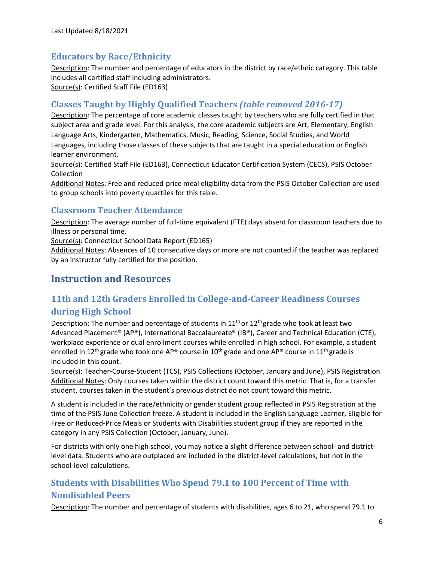# **Educators by Race/Ethnicity**

Description: The number and percentage of educators in the district by race/ethnic category. This table includes all certified staff including administrators. Source(s): Certified Staff File (ED163)

#### **Classes Taught by Highly Qualified Teachers** *(table removed 2016-17)*

Description: The percentage of core academic classes taught by teachers who are fully certified in that subject area and grade level. For this analysis, the core academic subjects are Art, Elementary, English Language Arts, Kindergarten, Mathematics, Music, Reading, Science, Social Studies, and World Languages, including those classes of these subjects that are taught in a special education or English learner environment.

Source(s): Certified Staff File (ED163), Connecticut Educator Certification System (CECS), PSIS October Collection

Additional Notes: Free and reduced-price meal eligibility data from the PSIS October Collection are used to group schools into poverty quartiles for this table.

#### **Classroom Teacher Attendance**

Description: The average number of full-time equivalent (FTE) days absent for classroom teachers due to illness or personal time.

Source(s): Connecticut School Data Report (ED165)

Additional Notes: Absences of 10 consecutive days or more are not counted if the teacher was replaced by an instructor fully certified for the position.

# **Instruction and Resources**

# **11th and 12th Graders Enrolled in College-and-Career Readiness Courses during High School**

Description: The number and percentage of students in  $11<sup>th</sup>$  or  $12<sup>th</sup>$  grade who took at least two Advanced Placement® (AP®), International Baccalaureate® (IB®), Career and Technical Education (CTE), workplace experience or dual enrollment courses while enrolled in high school. For example, a student enrolled in 12<sup>th</sup> grade who took one AP<sup>®</sup> course in 10<sup>th</sup> grade and one AP<sup>®</sup> course in 11<sup>th</sup> grade is included in this count.

Source(s): Teacher-Course-Student (TCS), PSIS Collections (October, January and June), PSIS Registration Additional Notes: Only courses taken within the district count toward this metric. That is, for a transfer student, courses taken in the student's previous district do not count toward this metric.

A student is included in the race/ethnicity or gender student group reflected in PSIS Registration at the time of the PSIS June Collection freeze. A student is included in the English Language Learner, Eligible for Free or Reduced-Price Meals or Students with Disabilities student group if they are reported in the category in any PSIS Collection (October, January, June).

For districts with only one high school, you may notice a slight difference between school- and districtlevel data. Students who are outplaced are included in the district-level calculations, but not in the school-level calculations.

# **Students with Disabilities Who Spend 79.1 to 100 Percent of Time with Nondisabled Peers**

Description: The number and percentage of students with disabilities, ages 6 to 21, who spend 79.1 to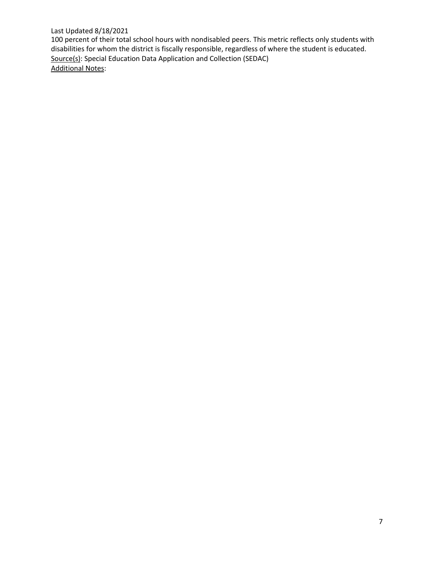#### Last Updated 8/18/2021

100 percent of their total school hours with nondisabled peers. This metric reflects only students with disabilities for whom the district is fiscally responsible, regardless of where the student is educated. Source(s): Special Education Data Application and Collection (SEDAC) Additional Notes: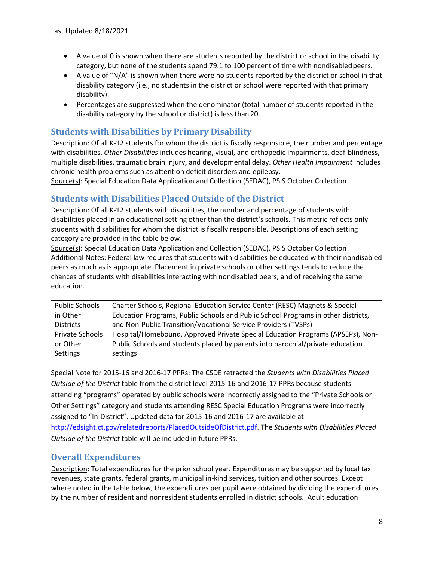- A value of 0 is shown when there are students reported by the district or school in the disability category, but none of the students spend 79.1 to 100 percent of time with nondisabled peers.
- A value of "N/A" is shown when there were no students reported by the district or school in that disability category (i.e., no students in the district or school were reported with that primary disability).
- Percentages are suppressed when the denominator (total number of students reported in the disability category by the school or district) is less than 20.

# **Students with Disabilities by Primary Disability**

Description: Of all K-12 students for whom the district is fiscally responsible, the number and percentage with disabilities. *Other Disabilities* includes hearing, visual, and orthopedic impairments, deaf-blindness, multiple disabilities, traumatic brain injury, and developmental delay. *Other Health Impairment* includes chronic health problems such as attention deficit disorders and epilepsy.

Source(s): Special Education Data Application and Collection (SEDAC), PSIS October Collection

## **Students with Disabilities Placed Outside of the District**

Description: Of all K-12 students with disabilities, the number and percentage of students with disabilities placed in an educational setting other than the district's schools. This metric reflects only students with disabilities for whom the district is fiscally responsible. Descriptions of each setting category are provided in the table below.

Source(s): Special Education Data Application and Collection (SEDAC), PSIS October Collection Additional Notes: Federal law requires that students with disabilities be educated with their nondisabled peers as much as is appropriate. Placement in private schools or other settings tends to reduce the chances of students with disabilities interacting with nondisabled peers, and of receiving the same education.

| <b>Public Schools</b> | Charter Schools, Regional Education Service Center (RESC) Magnets & Special       |
|-----------------------|-----------------------------------------------------------------------------------|
| in Other              | Education Programs, Public Schools and Public School Programs in other districts, |
| <b>Districts</b>      | and Non-Public Transition/Vocational Service Providers (TVSPs)                    |
| Private Schools       | Hospital/Homebound, Approved Private Special Education Programs (APSEPs), Non-    |
| or Other              | Public Schools and students placed by parents into parochial/private education    |
| Settings              | settings                                                                          |

Special Note for 2015-16 and 2016-17 PPRs: The CSDE retracted the *Students with Disabilities Placed Outside of the District* table from the district level 2015-16 and 2016-17 PPRs because students attending "programs" operated by public schools were incorrectly assigned to the "Private Schools or Other Settings" category and students attending RESC Special Education Programs were incorrectly assigned to "In-District". Updated data for 2015-16 and 2016-17 are available at [http://edsight.ct.gov/relatedreports/PlacedOutsideOfDistrict.pdf.](http://edsight.ct.gov/relatedreports/PlacedOutsideOfDistrict.pdf) The *Students with Disabilities Placed Outside of the District* table will be included in future PPRs.

#### **Overall Expenditures**

Description: Total expenditures for the prior school year. Expenditures may be supported by local tax revenues, state grants, federal grants, municipal in-kind services, tuition and other sources. Except where noted in the table below, the expenditures per pupil were obtained by dividing the expenditures by the number of resident and nonresident students enrolled in district schools. Adult education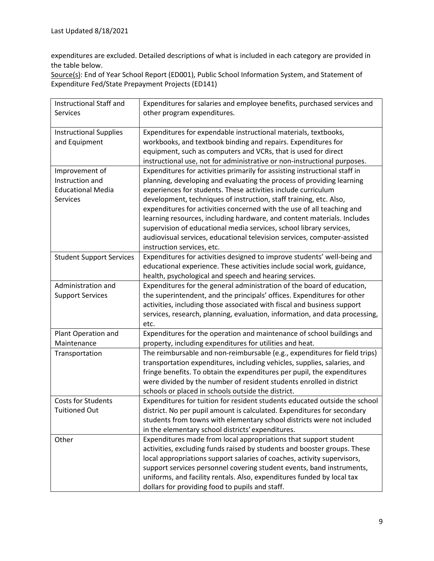expenditures are excluded. Detailed descriptions of what is included in each category are provided in the table below.

Source(s): End of Year School Report (ED001), Public School Information System, and Statement of Expenditure Fed/State Prepayment Projects (ED141)

| Instructional Staff and         | Expenditures for salaries and employee benefits, purchased services and     |
|---------------------------------|-----------------------------------------------------------------------------|
| <b>Services</b>                 | other program expenditures.                                                 |
|                                 |                                                                             |
| <b>Instructional Supplies</b>   | Expenditures for expendable instructional materials, textbooks,             |
| and Equipment                   | workbooks, and textbook binding and repairs. Expenditures for               |
|                                 | equipment, such as computers and VCRs, that is used for direct              |
|                                 | instructional use, not for administrative or non-instructional purposes.    |
| Improvement of                  | Expenditures for activities primarily for assisting instructional staff in  |
| Instruction and                 | planning, developing and evaluating the process of providing learning       |
| <b>Educational Media</b>        | experiences for students. These activities include curriculum               |
| Services                        |                                                                             |
|                                 | development, techniques of instruction, staff training, etc. Also,          |
|                                 | expenditures for activities concerned with the use of all teaching and      |
|                                 | learning resources, including hardware, and content materials. Includes     |
|                                 | supervision of educational media services, school library services,         |
|                                 | audiovisual services, educational television services, computer-assisted    |
|                                 | instruction services, etc.                                                  |
| <b>Student Support Services</b> | Expenditures for activities designed to improve students' well-being and    |
|                                 | educational experience. These activities include social work, guidance,     |
|                                 | health, psychological and speech and hearing services.                      |
| Administration and              | Expenditures for the general administration of the board of education,      |
| <b>Support Services</b>         | the superintendent, and the principals' offices. Expenditures for other     |
|                                 | activities, including those associated with fiscal and business support     |
|                                 | services, research, planning, evaluation, information, and data processing, |
|                                 | etc.                                                                        |
| Plant Operation and             | Expenditures for the operation and maintenance of school buildings and      |
| Maintenance                     | property, including expenditures for utilities and heat.                    |
| Transportation                  | The reimbursable and non-reimbursable (e.g., expenditures for field trips)  |
|                                 | transportation expenditures, including vehicles, supplies, salaries, and    |
|                                 | fringe benefits. To obtain the expenditures per pupil, the expenditures     |
|                                 | were divided by the number of resident students enrolled in district        |
|                                 | schools or placed in schools outside the district.                          |
| <b>Costs for Students</b>       | Expenditures for tuition for resident students educated outside the school  |
| <b>Tuitioned Out</b>            | district. No per pupil amount is calculated. Expenditures for secondary     |
|                                 | students from towns with elementary school districts were not included      |
|                                 | in the elementary school districts' expenditures.                           |
|                                 |                                                                             |
| Other                           | Expenditures made from local appropriations that support student            |
|                                 | activities, excluding funds raised by students and booster groups. These    |
|                                 | local appropriations support salaries of coaches, activity supervisors,     |
|                                 | support services personnel covering student events, band instruments,       |
|                                 | uniforms, and facility rentals. Also, expenditures funded by local tax      |
|                                 | dollars for providing food to pupils and staff.                             |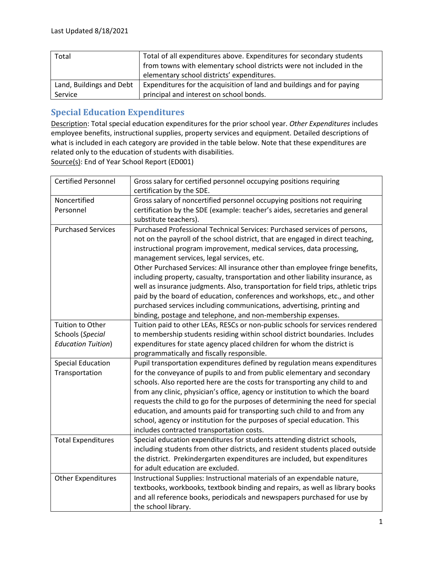| Total                    | Total of all expenditures above. Expenditures for secondary students  |
|--------------------------|-----------------------------------------------------------------------|
|                          | from towns with elementary school districts were not included in the  |
|                          | elementary school districts' expenditures.                            |
| Land, Buildings and Debt | Expenditures for the acquisition of land and buildings and for paying |
| Service                  | principal and interest on school bonds.                               |

### **Special Education Expenditures**

Description: Total special education expenditures for the prior school year. *Other Expenditures* includes employee benefits, instructional supplies, property services and equipment. Detailed descriptions of what is included in each category are provided in the table below. Note that these expenditures are related only to the education of students with disabilities. Source(s): End of Year School Report (ED001)

| <b>Certified Personnel</b>                                               | Gross salary for certified personnel occupying positions requiring<br>certification by the SDE.                                                                                                                                                                                                                                                                                                                                                                                                                                                                                                                                                                                                                                                                   |
|--------------------------------------------------------------------------|-------------------------------------------------------------------------------------------------------------------------------------------------------------------------------------------------------------------------------------------------------------------------------------------------------------------------------------------------------------------------------------------------------------------------------------------------------------------------------------------------------------------------------------------------------------------------------------------------------------------------------------------------------------------------------------------------------------------------------------------------------------------|
| Noncertified<br>Personnel                                                | Gross salary of noncertified personnel occupying positions not requiring<br>certification by the SDE (example: teacher's aides, secretaries and general<br>substitute teachers).                                                                                                                                                                                                                                                                                                                                                                                                                                                                                                                                                                                  |
| <b>Purchased Services</b>                                                | Purchased Professional Technical Services: Purchased services of persons,<br>not on the payroll of the school district, that are engaged in direct teaching,<br>instructional program improvement, medical services, data processing,<br>management services, legal services, etc.<br>Other Purchased Services: All insurance other than employee fringe benefits,<br>including property, casualty, transportation and other liability insurance, as<br>well as insurance judgments. Also, transportation for field trips, athletic trips<br>paid by the board of education, conferences and workshops, etc., and other<br>purchased services including communications, advertising, printing and<br>binding, postage and telephone, and non-membership expenses. |
| <b>Tuition to Other</b><br>Schools (Special<br><b>Education Tuition)</b> | Tuition paid to other LEAs, RESCs or non-public schools for services rendered<br>to membership students residing within school district boundaries. Includes<br>expenditures for state agency placed children for whom the district is<br>programmatically and fiscally responsible.                                                                                                                                                                                                                                                                                                                                                                                                                                                                              |
| <b>Special Education</b><br>Transportation                               | Pupil transportation expenditures defined by regulation means expenditures<br>for the conveyance of pupils to and from public elementary and secondary<br>schools. Also reported here are the costs for transporting any child to and<br>from any clinic, physician's office, agency or institution to which the board<br>requests the child to go for the purposes of determining the need for special<br>education, and amounts paid for transporting such child to and from any<br>school, agency or institution for the purposes of special education. This<br>includes contracted transportation costs.                                                                                                                                                      |
| <b>Total Expenditures</b>                                                | Special education expenditures for students attending district schools,<br>including students from other districts, and resident students placed outside<br>the district. Prekindergarten expenditures are included, but expenditures<br>for adult education are excluded.                                                                                                                                                                                                                                                                                                                                                                                                                                                                                        |
| <b>Other Expenditures</b>                                                | Instructional Supplies: Instructional materials of an expendable nature,<br>textbooks, workbooks, textbook binding and repairs, as well as library books<br>and all reference books, periodicals and newspapers purchased for use by<br>the school library.                                                                                                                                                                                                                                                                                                                                                                                                                                                                                                       |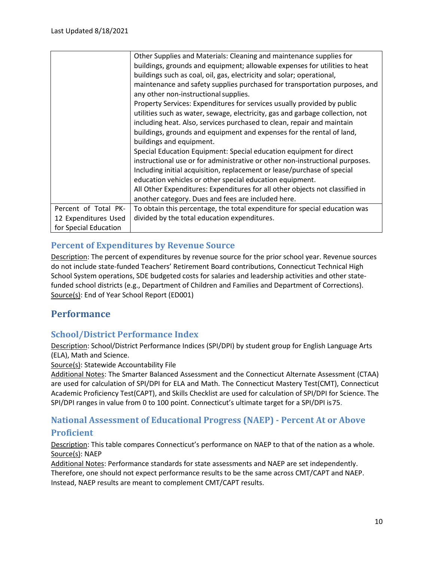|                       | Other Supplies and Materials: Cleaning and maintenance supplies for<br>buildings, grounds and equipment; allowable expenses for utilities to heat<br>buildings such as coal, oil, gas, electricity and solar; operational,<br>maintenance and safety supplies purchased for transportation purposes, and<br>any other non-instructional supplies.<br>Property Services: Expenditures for services usually provided by public<br>utilities such as water, sewage, electricity, gas and garbage collection, not<br>including heat. Also, services purchased to clean, repair and maintain<br>buildings, grounds and equipment and expenses for the rental of land,<br>buildings and equipment.<br>Special Education Equipment: Special education equipment for direct<br>instructional use or for administrative or other non-instructional purposes.<br>Including initial acquisition, replacement or lease/purchase of special<br>education vehicles or other special education equipment. |
|-----------------------|--------------------------------------------------------------------------------------------------------------------------------------------------------------------------------------------------------------------------------------------------------------------------------------------------------------------------------------------------------------------------------------------------------------------------------------------------------------------------------------------------------------------------------------------------------------------------------------------------------------------------------------------------------------------------------------------------------------------------------------------------------------------------------------------------------------------------------------------------------------------------------------------------------------------------------------------------------------------------------------------|
|                       | All Other Expenditures: Expenditures for all other objects not classified in                                                                                                                                                                                                                                                                                                                                                                                                                                                                                                                                                                                                                                                                                                                                                                                                                                                                                                               |
|                       | another category. Dues and fees are included here.                                                                                                                                                                                                                                                                                                                                                                                                                                                                                                                                                                                                                                                                                                                                                                                                                                                                                                                                         |
| Percent of Total PK-  | To obtain this percentage, the total expenditure for special education was                                                                                                                                                                                                                                                                                                                                                                                                                                                                                                                                                                                                                                                                                                                                                                                                                                                                                                                 |
| 12 Expenditures Used  | divided by the total education expenditures.                                                                                                                                                                                                                                                                                                                                                                                                                                                                                                                                                                                                                                                                                                                                                                                                                                                                                                                                               |
| for Special Education |                                                                                                                                                                                                                                                                                                                                                                                                                                                                                                                                                                                                                                                                                                                                                                                                                                                                                                                                                                                            |

#### **Percent of Expenditures by Revenue Source**

Description: The percent of expenditures by revenue source for the prior school year. Revenue sources do not include state-funded Teachers' Retirement Board contributions, Connecticut Technical High School System operations, SDE budgeted costs for salaries and leadership activities and other statefunded school districts (e.g., Department of Children and Families and Department of Corrections). Source(s): End of Year School Report (ED001)

# **Performance**

#### **School/District Performance Index**

Description: School/District Performance Indices (SPI/DPI) by student group for English Language Arts (ELA), Math and Science.

Source(s): Statewide Accountability File

Additional Notes: The Smarter Balanced Assessment and the Connecticut Alternate Assessment (CTAA) are used for calculation of SPI/DPI for ELA and Math. The Connecticut Mastery Test(CMT), Connecticut Academic Proficiency Test(CAPT), and Skills Checklist are used for calculation of SPI/DPI for Science. The SPI/DPI ranges in value from 0 to 100 point. Connecticut's ultimate target for a SPI/DPI is75.

# **National Assessment of Educational Progress (NAEP) - Percent At or Above Proficient**

Description: This table compares Connecticut's performance on NAEP to that of the nation as a whole. Source(s): NAEP

Additional Notes: Performance standards for state assessments and NAEP are set independently. Therefore, one should not expect performance results to be the same across CMT/CAPT and NAEP. Instead, NAEP results are meant to complement CMT/CAPT results.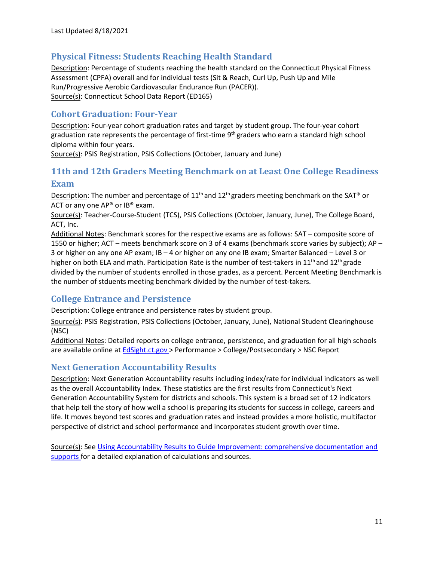#### **Physical Fitness: Students Reaching Health Standard**

Description: Percentage of students reaching the health standard on the Connecticut Physical Fitness Assessment (CPFA) overall and for individual tests (Sit & Reach, Curl Up, Push Up and Mile Run/Progressive Aerobic Cardiovascular Endurance Run (PACER)). Source(s): Connecticut School Data Report (ED165)

#### **Cohort Graduation: Four-Year**

Description: Four-year cohort graduation rates and target by student group. The four-year cohort graduation rate represents the percentage of first-time  $9<sup>th</sup>$  graders who earn a standard high school diploma within four years.

Source(s): PSIS Registration, PSIS Collections (October, January and June)

# **11th and 12th Graders Meeting Benchmark on at Least One College Readiness Exam**

Description: The number and percentage of  $11<sup>th</sup>$  and  $12<sup>th</sup>$  graders meeting benchmark on the SAT® or ACT or any one  $AP^{\circ}$  or  $IB^{\circ}$  exam.

Source(s): Teacher-Course-Student (TCS), PSIS Collections (October, January, June), The College Board, ACT, Inc.

Additional Notes: Benchmark scores for the respective exams are as follows: SAT – composite score of 1550 or higher; ACT – meets benchmark score on 3 of 4 exams (benchmark score varies by subject); AP – 3 or higher on any one AP exam; IB – 4 or higher on any one IB exam; Smarter Balanced – Level 3 or higher on both ELA and math. Participation Rate is the number of test-takers in  $11<sup>th</sup>$  and  $12<sup>th</sup>$  grade divided by the number of students enrolled in those grades, as a percent. Percent Meeting Benchmark is the number of stduents meeting benchmark divided by the number of test-takers.

#### **College Entrance and Persistence**

Description: College entrance and persistence rates by student group.

Source(s): PSIS Registration, PSIS Collections (October, January, June), National Student Clearinghouse (NSC)

Additional Notes: Detailed reports on college entrance, persistence, and graduation for all high schools are available online at **EdSight.ct.gov** > Performance > College/Postsecondary > NSC Report

#### **Next Generation Accountability Results**

Description: Next Generation Accountability results including index/rate for individual indicators as well as the overall Accountability Index. These statistics are the first results from Connecticut's Next Generation Accountability System for districts and schools. This system is a broad set of 12 indicators that help tell the story of how well a school is preparing its students for success in college, careers and life. It moves beyond test scores and graduation rates and instead provides a more holistic, multifactor perspective of district and school performance and incorporates student growth over time.

Source(s): Se[e Using Accountability Results to Guide Improvement: comprehensive documentation and](http://edsight.ct.gov/relatedreports/using_accountability_results_to_guide_improvement.pdf) [supports f](http://edsight.ct.gov/relatedreports/using_accountability_results_to_guide_improvement.pdf)or a detailed explanation of calculations and sources.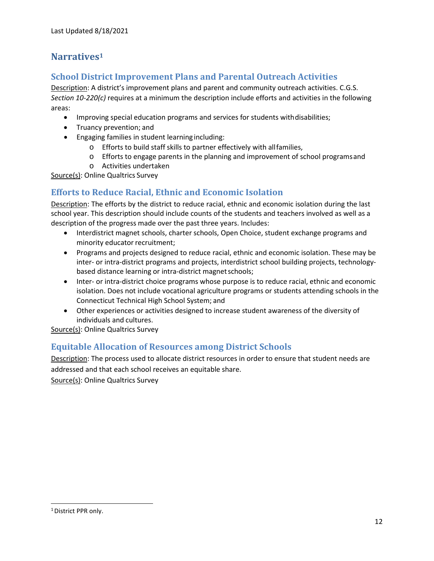# **Narrative[s1](#page-12-0)**

# **School District Improvement Plans and Parental Outreach Activities**

Description: A district's improvement plans and parent and community outreach activities. C.G.S. *Section 10‐220(c)* requires at a minimum the description include efforts and activities in the following areas:

- Improving special education programs and services for students withdisabilities;
- Truancy prevention; and
- Engaging families in student learning including:
	- o Efforts to build staff skills to partner effectively with allfamilies,
	- o Efforts to engage parents in the planning and improvement of school programsand
	- o Activities undertaken

Source(s): Online Qualtrics Survey

# **Efforts to Reduce Racial, Ethnic and Economic Isolation**

Description: The efforts by the district to reduce racial, ethnic and economic isolation during the last school year. This description should include counts of the students and teachers involved as well as a description of the progress made over the past three years. Includes:

- Interdistrict magnet schools, charter schools, Open Choice, student exchange programs and minority educator recruitment;
- Programs and projects designed to reduce racial, ethnic and economic isolation. These may be inter- or intra-district programs and projects, interdistrict school building projects, technologybased distance learning or intra-district magnet schools;
- Inter- or intra-district choice programs whose purpose is to reduce racial, ethnic and economic isolation. Does not include vocational agriculture programs or students attending schools in the Connecticut Technical High School System; and
- Other experiences or activities designed to increase student awareness of the diversity of individuals and cultures.

Source(s): Online Qualtrics Survey

#### **Equitable Allocation of Resources among District Schools**

Description: The process used to allocate district resources in order to ensure that student needs are addressed and that each school receives an equitable share.

Source(s): Online Qualtrics Survey

<span id="page-12-0"></span><sup>&</sup>lt;sup>1</sup> District PPR only.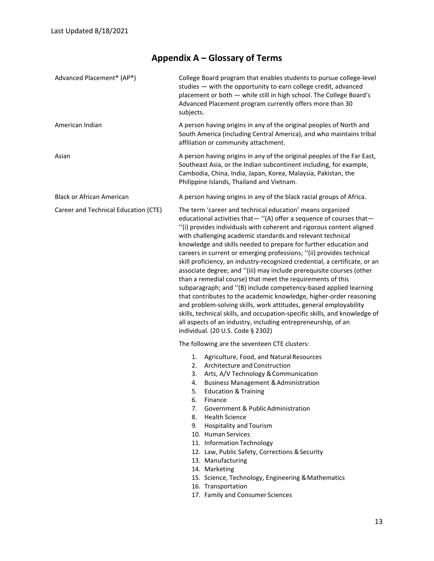# **Appendix A – Glossary of Terms**

| Advanced Placement <sup>®</sup> (AP®) | College Board program that enables students to pursue college-level<br>studies - with the opportunity to earn college credit, advanced<br>placement or both - while still in high school. The College Board's<br>Advanced Placement program currently offers more than 30<br>subjects.                                                                                                                                                                                                                                                                                                                                                                                                                                                                                                                                                                                                                                                                                                                                                     |  |
|---------------------------------------|--------------------------------------------------------------------------------------------------------------------------------------------------------------------------------------------------------------------------------------------------------------------------------------------------------------------------------------------------------------------------------------------------------------------------------------------------------------------------------------------------------------------------------------------------------------------------------------------------------------------------------------------------------------------------------------------------------------------------------------------------------------------------------------------------------------------------------------------------------------------------------------------------------------------------------------------------------------------------------------------------------------------------------------------|--|
| American Indian                       | A person having origins in any of the original peoples of North and<br>South America (including Central America), and who maintains tribal<br>affiliation or community attachment.                                                                                                                                                                                                                                                                                                                                                                                                                                                                                                                                                                                                                                                                                                                                                                                                                                                         |  |
| Asian                                 | A person having origins in any of the original peoples of the Far East,<br>Southeast Asia, or the Indian subcontinent including, for example,<br>Cambodia, China, India, Japan, Korea, Malaysia, Pakistan, the<br>Philippine Islands, Thailand and Vietnam.                                                                                                                                                                                                                                                                                                                                                                                                                                                                                                                                                                                                                                                                                                                                                                                |  |
| <b>Black or African American</b>      | A person having origins in any of the black racial groups of Africa.                                                                                                                                                                                                                                                                                                                                                                                                                                                                                                                                                                                                                                                                                                                                                                                                                                                                                                                                                                       |  |
| Career and Technical Education (CTE)  | The term 'career and technical education' means organized<br>educational activities that - "(A) offer a sequence of courses that-<br>"(i) provides individuals with coherent and rigorous content aligned<br>with challenging academic standards and relevant technical<br>knowledge and skills needed to prepare for further education and<br>careers in current or emerging professions; "(ii) provides technical<br>skill proficiency, an industry-recognized credential, a certificate, or an<br>associate degree; and "(iii) may include prerequisite courses (other<br>than a remedial course) that meet the requirements of this<br>subparagraph; and "(B) include competency-based applied learning<br>that contributes to the academic knowledge, higher-order reasoning<br>and problem-solving skills, work attitudes, general employability<br>skills, technical skills, and occupation-specific skills, and knowledge of<br>all aspects of an industry, including entrepreneurship, of an<br>individual. (20 U.S. Code § 2302) |  |
|                                       | The following are the seventeen CTE clusters:                                                                                                                                                                                                                                                                                                                                                                                                                                                                                                                                                                                                                                                                                                                                                                                                                                                                                                                                                                                              |  |
|                                       | 1.<br>Agriculture, Food, and Natural Resources<br>Architecture and Construction<br>2.<br>Arts, A/V Technology & Communication<br>3.<br><b>Business Management &amp; Administration</b><br>4.<br><b>Education &amp; Training</b><br>6.<br>Finance<br>7.<br>Government & Public Administration<br><b>Health Science</b><br>8.<br>9.<br><b>Hospitality and Tourism</b><br>10. Human Services<br>11. Information Technology<br>12. Law, Public Safety, Corrections & Security<br>13. Manufacturing<br>14. Marketing<br>15. Science, Technology, Engineering & Mathematics<br>16. Transportation<br>17. Family and Consumer Sciences                                                                                                                                                                                                                                                                                                                                                                                                            |  |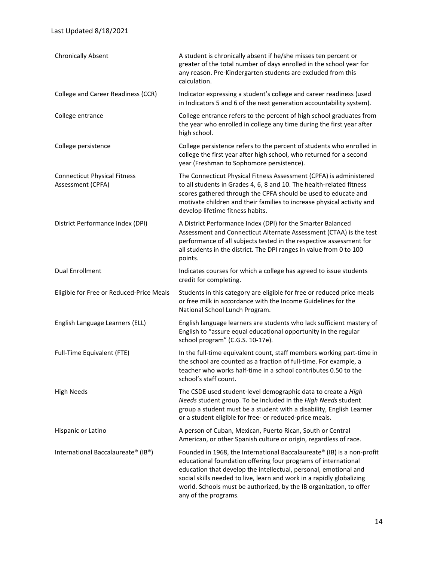#### Last Updated 8/18/2021

| <b>Chronically Absent</b>                                | A student is chronically absent if he/she misses ten percent or<br>greater of the total number of days enrolled in the school year for<br>any reason. Pre-Kindergarten students are excluded from this<br>calculation.                                                                                                                                                               |
|----------------------------------------------------------|--------------------------------------------------------------------------------------------------------------------------------------------------------------------------------------------------------------------------------------------------------------------------------------------------------------------------------------------------------------------------------------|
| College and Career Readiness (CCR)                       | Indicator expressing a student's college and career readiness (used<br>in Indicators 5 and 6 of the next generation accountability system).                                                                                                                                                                                                                                          |
| College entrance                                         | College entrance refers to the percent of high school graduates from<br>the year who enrolled in college any time during the first year after<br>high school.                                                                                                                                                                                                                        |
| College persistence                                      | College persistence refers to the percent of students who enrolled in<br>college the first year after high school, who returned for a second<br>year (Freshman to Sophomore persistence).                                                                                                                                                                                            |
| <b>Connecticut Physical Fitness</b><br>Assessment (CPFA) | The Connecticut Physical Fitness Assessment (CPFA) is administered<br>to all students in Grades 4, 6, 8 and 10. The health-related fitness<br>scores gathered through the CPFA should be used to educate and<br>motivate children and their families to increase physical activity and<br>develop lifetime fitness habits.                                                           |
| District Performance Index (DPI)                         | A District Performance Index (DPI) for the Smarter Balanced<br>Assessment and Connecticut Alternate Assessment (CTAA) is the test<br>performance of all subjects tested in the respective assessment for<br>all students in the district. The DPI ranges in value from 0 to 100<br>points.                                                                                           |
| Dual Enrollment                                          | Indicates courses for which a college has agreed to issue students<br>credit for completing.                                                                                                                                                                                                                                                                                         |
| Eligible for Free or Reduced-Price Meals                 | Students in this category are eligible for free or reduced price meals<br>or free milk in accordance with the Income Guidelines for the<br>National School Lunch Program.                                                                                                                                                                                                            |
| English Language Learners (ELL)                          | English language learners are students who lack sufficient mastery of<br>English to "assure equal educational opportunity in the regular<br>school program" (C.G.S. 10-17e).                                                                                                                                                                                                         |
| Full-Time Equivalent (FTE)                               | In the full-time equivalent count, staff members working part-time in<br>the school are counted as a fraction of full-time. For example, a<br>teacher who works half-time in a school contributes 0.50 to the<br>school's staff count.                                                                                                                                               |
| <b>High Needs</b>                                        | The CSDE used student-level demographic data to create a High<br>Needs student group. To be included in the High Needs student<br>group a student must be a student with a disability, English Learner<br>or a student eligible for free- or reduced-price meals.                                                                                                                    |
| Hispanic or Latino                                       | A person of Cuban, Mexican, Puerto Rican, South or Central<br>American, or other Spanish culture or origin, regardless of race.                                                                                                                                                                                                                                                      |
| International Baccalaureate® (IB®)                       | Founded in 1968, the International Baccalaureate® (IB) is a non-profit<br>educational foundation offering four programs of international<br>education that develop the intellectual, personal, emotional and<br>social skills needed to live, learn and work in a rapidly globalizing<br>world. Schools must be authorized, by the IB organization, to offer<br>any of the programs. |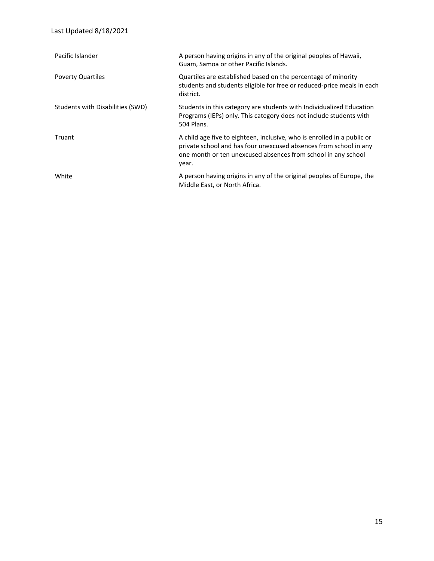| Pacific Islander                 | A person having origins in any of the original peoples of Hawaii,<br>Guam, Samoa or other Pacific Islands.                                                                                                             |
|----------------------------------|------------------------------------------------------------------------------------------------------------------------------------------------------------------------------------------------------------------------|
| <b>Poverty Quartiles</b>         | Quartiles are established based on the percentage of minority<br>students and students eligible for free or reduced-price meals in each<br>district.                                                                   |
| Students with Disabilities (SWD) | Students in this category are students with Individualized Education<br>Programs (IEPs) only. This category does not include students with<br>504 Plans.                                                               |
| Truant                           | A child age five to eighteen, inclusive, who is enrolled in a public or<br>private school and has four unexcused absences from school in any<br>one month or ten unexcused absences from school in any school<br>year. |
| White                            | A person having origins in any of the original peoples of Europe, the<br>Middle East, or North Africa.                                                                                                                 |